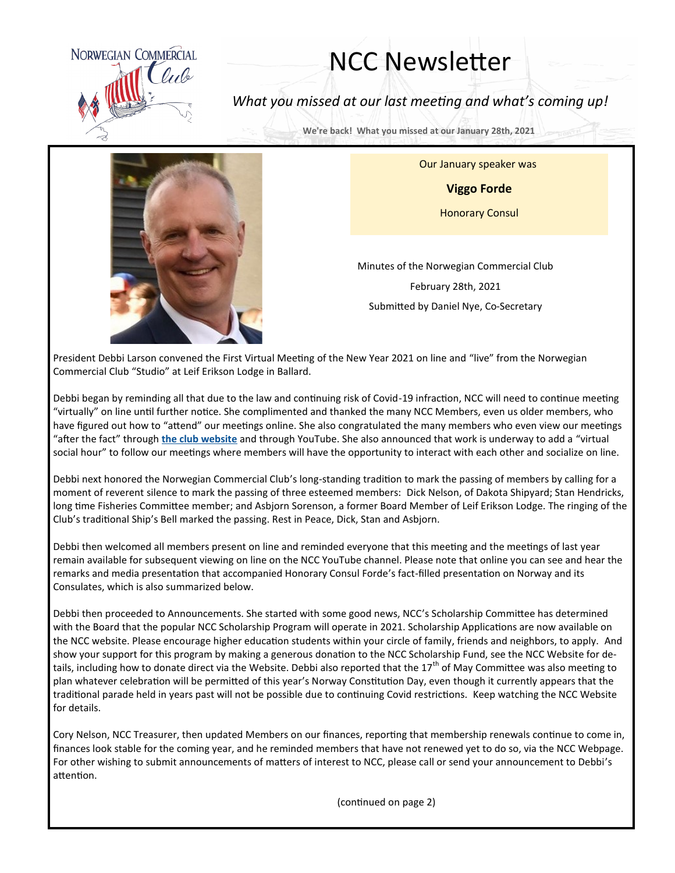

## NCC Newsletter

*What you missed at our last meeting and what's coming up!*

**We're back! What you missed at our January 28th, 2021** 

Our January speaker was

**Viggo Forde**

Honorary Consul

Minutes of the Norwegian Commercial Club February 28th, 2021 Submitted by Daniel Nye, Co-Secretary

President Debbi Larson convened the First Virtual Meeting of the New Year 2021 on line and "live" from the Norwegian Commercial Club "Studio" at Leif Erikson Lodge in Ballard.

Debbi began by reminding all that due to the law and continuing risk of Covid-19 infraction, NCC will need to continue meeting "virtually" on line until further notice. She complimented and thanked the many NCC Members, even us older members, who have figured out how to "attend" our meetings online. She also congratulated the many members who even view our meetings "after the fact" through **[the club website](http://www.norwegiancommercialclub.org)** and through YouTube. She also announced that work is underway to add a "virtual social hour" to follow our meetings where members will have the opportunity to interact with each other and socialize on line.

Debbi next honored the Norwegian Commercial Club's long-standing tradition to mark the passing of members by calling for a moment of reverent silence to mark the passing of three esteemed members: Dick Nelson, of Dakota Shipyard; Stan Hendricks, long time Fisheries Committee member; and Asbjorn Sorenson, a former Board Member of Leif Erikson Lodge. The ringing of the Club's traditional Ship's Bell marked the passing. Rest in Peace, Dick, Stan and Asbjorn.

Debbi then welcomed all members present on line and reminded everyone that this meeting and the meetings of last year remain available for subsequent viewing on line on the NCC YouTube channel. Please note that online you can see and hear the remarks and media presentation that accompanied Honorary Consul Forde's fact-filled presentation on Norway and its Consulates, which is also summarized below.

Debbi then proceeded to Announcements. She started with some good news, NCC's Scholarship Committee has determined with the Board that the popular NCC Scholarship Program will operate in 2021. Scholarship Applications are now available on the NCC website. Please encourage higher education students within your circle of family, friends and neighbors, to apply. And show your support for this program by making a generous donation to the NCC Scholarship Fund, see the NCC Website for details, including how to donate direct via the Website. Debbi also reported that the 17<sup>th</sup> of May Committee was also meeting to plan whatever celebration will be permitted of this year's Norway Constitution Day, even though it currently appears that the traditional parade held in years past will not be possible due to continuing Covid restrictions. Keep watching the NCC Website for details.

Cory Nelson, NCC Treasurer, then updated Members on our finances, reporting that membership renewals continue to come in, finances look stable for the coming year, and he reminded members that have not renewed yet to do so, via the NCC Webpage. For other wishing to submit announcements of matters of interest to NCC, please call or send your announcement to Debbi's attention.

(continued on page 2)